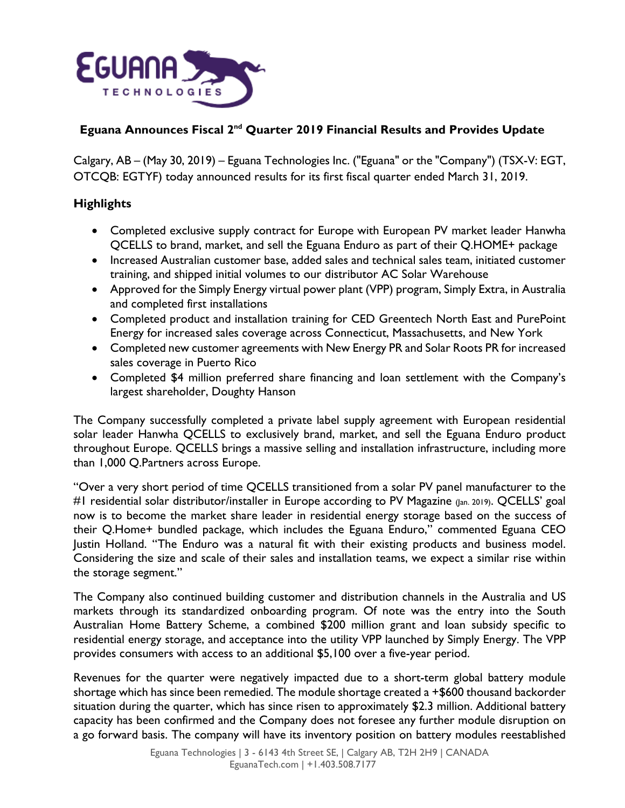

# **Eguana Announces Fiscal 2nd Quarter 2019 Financial Results and Provides Update**

Calgary, AB – (May 30, 2019) – Eguana Technologies Inc. ("Eguana" or the "Company") (TSX-V: EGT, OTCQB: EGTYF) today announced results for its first fiscal quarter ended March 31, 2019.

# **Highlights**

- Completed exclusive supply contract for Europe with European PV market leader Hanwha QCELLS to brand, market, and sell the Eguana Enduro as part of their Q.HOME+ package
- Increased Australian customer base, added sales and technical sales team, initiated customer training, and shipped initial volumes to our distributor AC Solar Warehouse
- Approved for the Simply Energy virtual power plant (VPP) program, Simply Extra, in Australia and completed first installations
- Completed product and installation training for CED Greentech North East and PurePoint Energy for increased sales coverage across Connecticut, Massachusetts, and New York
- Completed new customer agreements with New Energy PR and Solar Roots PR for increased sales coverage in Puerto Rico
- Completed \$4 million preferred share financing and loan settlement with the Company's largest shareholder, Doughty Hanson

The Company successfully completed a private label supply agreement with European residential solar leader Hanwha QCELLS to exclusively brand, market, and sell the Eguana Enduro product throughout Europe. QCELLS brings a massive selling and installation infrastructure, including more than 1,000 Q.Partners across Europe.

"Over a very short period of time QCELLS transitioned from a solar PV panel manufacturer to the #1 residential solar distributor/installer in Europe according to PV Magazine (Jan. 2019). QCELLS' goal now is to become the market share leader in residential energy storage based on the success of their Q.Home+ bundled package, which includes the Eguana Enduro," commented Eguana CEO Justin Holland. "The Enduro was a natural fit with their existing products and business model. Considering the size and scale of their sales and installation teams, we expect a similar rise within the storage segment."

The Company also continued building customer and distribution channels in the Australia and US markets through its standardized onboarding program. Of note was the entry into the South Australian Home Battery Scheme, a combined \$200 million grant and loan subsidy specific to residential energy storage, and acceptance into the utility VPP launched by Simply Energy. The VPP provides consumers with access to an additional \$5,100 over a five-year period.

Revenues for the quarter were negatively impacted due to a short-term global battery module shortage which has since been remedied. The module shortage created a +\$600 thousand backorder situation during the quarter, which has since risen to approximately \$2.3 million. Additional battery capacity has been confirmed and the Company does not foresee any further module disruption on a go forward basis. The company will have its inventory position on battery modules reestablished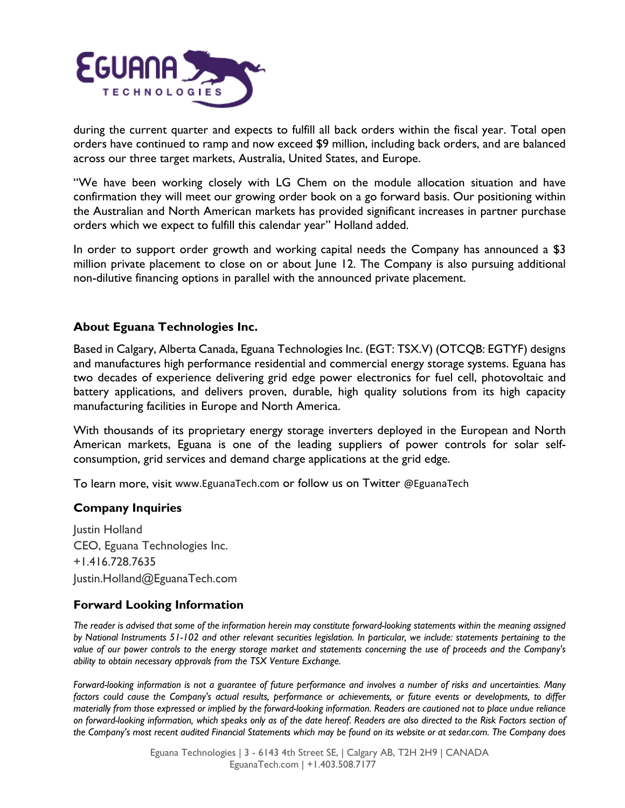

during the current quarter and expects to fulfill all back orders within the fiscal year. Total open orders have continued to ramp and now exceed \$9 million, including back orders, and are balanced across our three target markets, Australia, United States, and Europe.

"We have been working closely with LG Chem on the module allocation situation and have confirmation they will meet our growing order book on a go forward basis. Our positioning within the Australian and North American markets has provided significant increases in partner purchase orders which we expect to fulfill this calendar year" Holland added.

In order to support order growth and working capital needs the Company has announced a \$3 million private placement to close on or about June 12. The Company is also pursuing additional non-dilutive financing options in parallel with the announced private placement.

## **About Eguana Technologies Inc.**

Based in Calgary, Alberta Canada, Eguana Technologies Inc. (EGT: TSX.V) (OTCQB: EGTYF) designs and manufactures high performance residential and commercial energy storage systems. Eguana has two decades of experience delivering grid edge power electronics for fuel cell, photovoltaic and battery applications, and delivers proven, durable, high quality solutions from its high capacity manufacturing facilities in Europe and North America.

With thousands of its proprietary energy storage inverters deployed in the European and North American markets, Eguana is one of the leading suppliers of power controls for solar selfconsumption, grid services and demand charge applications at the grid edge.

To learn more, visit [www.EguanaTech.com](http://www.eguanatech.com/) or follow us on Twitter [@EguanaTech](https://twitter.com/EguanaTech)

### **Company Inquiries**

Justin Holland CEO, Eguana Technologies Inc. +1.416.728.7635 [Justin.Holland@EguanaTech.com](mailto:Justin.Holland@EguanaTech.com)

### **Forward Looking Information**

*The reader is advised that some of the information herein may constitute forward-looking statements within the meaning assigned by National Instruments 51-102 and other relevant securities legislation. In particular, we include: statements pertaining to the value of our power controls to the energy storage market and statements concerning the use of proceeds and the Company's ability to obtain necessary approvals from the TSX Venture Exchange.*

*Forward-looking information is not a guarantee of future performance and involves a number of risks and uncertainties. Many factors could cause the Company's actual results, performance or achievements, or future events or developments, to differ materially from those expressed or implied by the forward-looking information. Readers are cautioned not to place undue reliance on forward-looking information, which speaks only as of the date hereof. Readers are also directed to the Risk Factors section of the Company's most recent audited Financial Statements which may be found on its website or at sedar.com. The Company does*